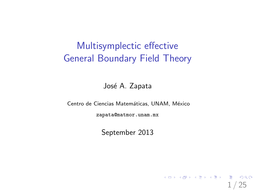# Multisymplectic effective General Boundary Field Theory

José A. Zapata

Centro de Ciencias Matemáticas, UNAM, México

zapata@matmor.unam.mx

September 2013

<span id="page-0-0"></span>1 / 25

K ロ X (日) X (日) X (日) X (日) X (日) X (日) X (日) X (日) X (日) X (日) X (日) X (日)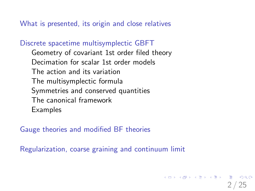[What is presented, its origin and close relatives](#page-2-0)

[Discrete spacetime multisymplectic GBFT](#page-5-0) [Geometry of covariant 1st order filed theory](#page-5-0) [Decimation for scalar 1st order models](#page-6-0) [The action and its variation](#page-7-0) [The multisymplectic formula](#page-8-0) [Symmetries and conserved quantities](#page-10-0) [The canonical framework](#page-11-0) [Examples](#page-13-0)

[Gauge theories and modified BF theories](#page-16-0)

[Regularization, coarse graining and continuum limit](#page-21-0)

25

KID KAP KID KID DE 1990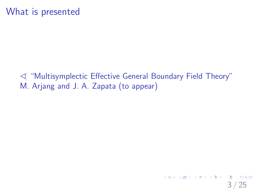$\leq$  "Multisymplectic Effective General Boundary Field Theory" M. Arjang and J. A. Zapata (to appear)

<span id="page-2-0"></span>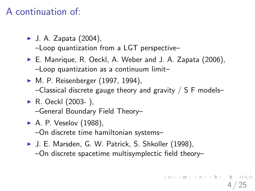## A continuation of:

► J. A. Zapata (2004),

–Loop quantization from a LGT perspective–

- ► E. Manrique, R. Oeckl, A. Weber and J. A. Zapata (2006), –Loop quantization as a continuum limit–
- ► M. P. Reisenberger (1997, 1994),  $-$ Classical discrete gauge theory and gravity / S F models–
- ▶ R. Oeckl (2003- ), –General Boundary Field Theory–
- $\blacktriangleright$  A. P. Veselov (1988), –On discrete time hamiltonian systems–
- ▶ J. E. Marsden, G. W. Patrick, S. Shkoller (1998), –On discrete spacetime multisymplectic field theory–

25

K ロ X (日) X (日) X (日) X (日) X (日) X (日) X (日) X (日) X (日) X (日) X (日)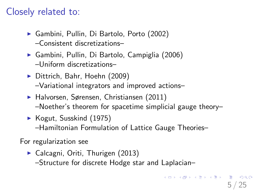## Closely related to:

- ▶ Gambini, Pullin, Di Bartolo, Porto (2002) –Consistent discretizations–
- ▶ Gambini, Pullin, Di Bartolo, Campiglia (2006) –Uniform discretizations–
- ▶ Dittrich, Bahr, Hoehn (2009) –Variational integrators and improved actions–
- $\blacktriangleright$  Halvorsen, Sørensen, Christiansen (2011) –Noether's theorem for spacetime simplicial gauge theory–

<span id="page-4-0"></span>5 / 25

KO K K (DIK K E K K E K K K K K K K K K K K K

 $\blacktriangleright$  Kogut, Susskind (1975) –Hamiltonian Formulation of Lattice Gauge Theories–

For regularization see

 $\blacktriangleright$  Calcagni, Oriti, Thurigen (2013) –Structure for discrete Hodge star and Laplacian–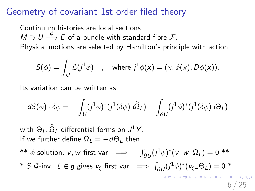#### Geometry of covariant 1st order filed theory

Continuum histories are local sections  $M\supset U\stackrel{\phi}{\longrightarrow} E$  of a bundle with standard fibre  ${\cal F}.$ Physical motions are selected by Hamilton's principle with action

$$
S(\phi) = \int_U \mathcal{L}(j^1 \phi) \quad , \quad \text{where } j^1 \phi(x) = (x, \phi(x), D\phi(x)).
$$

Its variation can be written as

$$
dS(\phi) \cdot \delta \phi = -\int_U (j^1 \phi)^* (j^1 (\delta \phi) \lrcorner \widehat{\Omega}_L) + \int_{\partial U} (j^1 \phi)^* (j^1 (\delta \phi) \lrcorner \Theta_L)
$$

with  $\Theta_L, \Omega_L$  differential forms on  $J^1Y$ . If we further define  $\Omega_I = -d\Theta_L$  then

<span id="page-5-0"></span>\*\*  $\phi$  solution, v, w first var.  $\implies$   $\int_{\partial U} (j^1 \phi)^* (\nu \Box \omega \Box \Omega_L) = 0$  \*\* \* S G-inv.,  $\xi \in \mathfrak{g}$  gives  $v_{\xi}$  first var.  $\implies \int_{\partial U} (j^1 \phi)^* (v_{\xi} \lrcorner \Theta_L) = 0$  \* **KORK ERKER STRACK** 25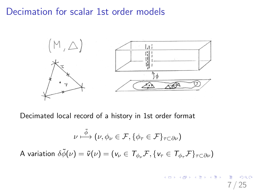Decimation for scalar 1st order models



Decimated local record of a history in 1st order format

$$
\nu \stackrel{\tilde{\phi}}{\longmapsto} (\nu, \phi_{\nu} \in \mathcal{F}, \{\phi_{\tau} \in \mathcal{F}\}_{\tau \subset \partial \nu})
$$

<span id="page-6-0"></span>7 / 25

イロト 不優 ト 不重 ト 不重 トー 重

A variation  $\delta \tilde{\phi}(\nu) = \tilde{v}(\nu) = (v_{\nu} \in T_{\phi_{\nu}} \mathcal{F}, \{v_{\tau} \in T_{\phi_{\tau}} \mathcal{F}\}_{\tau \subset \partial \nu})$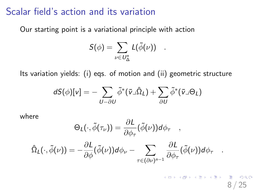#### Scalar field's action and its variation

Our starting point is a variational principle with action

$$
S(\phi) = \sum_{\nu \in U_{\Delta}^n} L(\tilde{\phi}(\nu)) \quad .
$$

Its variation yields: (i) eqs. of motion and (ii) geometric structure

$$
dS(\phi)[v] = -\sum_{U-\partial U} \tilde{\phi}^*(\tilde{v}\lrcorner \hat{\Omega}_L) + \sum_{\partial U} \tilde{\phi}^*(\tilde{v}\lrcorner \Theta_L)
$$

where

$$
\Theta_{L}(\cdot, \tilde{\phi}(\tau_{\nu})) = \frac{\partial L}{\partial \phi_{\tau}}(\tilde{\phi}(\nu)) d\phi_{\tau} \quad ,
$$

$$
\hat{\Omega}_L(\cdot,\tilde{\phi}(\nu))=-\frac{\partial L}{\partial \phi}(\tilde{\phi}(\nu))d\phi_{\nu}-\sum_{\tau\in(\partial \nu)^{n-1}}\frac{\partial L}{\partial \phi_{\tau}}(\tilde{\phi}(\nu))d\phi_{\tau}.
$$

<span id="page-7-0"></span>8 / 25

KO K K Ø K K E K K E K V K K K K K K K K K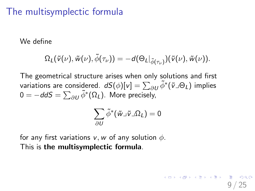### The multisymplectic formula

We define

$$
\Omega_L(\tilde{\mathsf{v}}(\nu),\tilde{\mathsf{w}}(\nu),\tilde{\phi}(\tau_\nu))=-d(\Theta_L|_{\tilde{\phi}(\tau_\nu)})(\tilde{\mathsf{v}}(\nu),\tilde{\mathsf{w}}(\nu)).
$$

The geometrical structure arises when only solutions and first variations are considered.  $d\mathcal{S}(\phi)[\pmb{\nu}]=\sum_{\partial\mathcal{U}}\tilde{\phi}^*(\tilde{\pmb{\nu}}\lrcorner\Theta_L)$  implies  $0 = -ddS = \sum_{\partial U} \tilde{\phi}^*(\Omega_L)$ . More precisely,

$$
\sum_{\partial U} \tilde{\phi}^*(\tilde{w}\lrcorner \tilde{v}\lrcorner \Omega_L)=0
$$

<span id="page-8-0"></span>25

K ロ ▶ K @ ▶ K 할 ▶ K 할 ▶ ... 할 ..

for any first variations v, w of any solution  $\phi$ . This is the multisymplectic formula.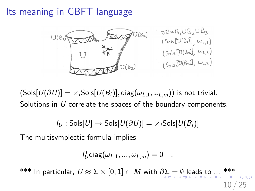# Its meaning in GBFT language



 $(Sols[U(\partial U)] = \times_{i}Sols[U(B_{i})], diag(\omega_{L,1}, \omega_{L,m})$  is not trivial. Solutions in U correlate the spaces of the boundary components.

$$
I_U: \mathsf{Sols}[U] \to \mathsf{Sols}[U(\partial U)] = \times_i \mathsf{Sols}[U(B_i)]
$$

The multisymplectic formula implies

$$
I_U^*diag(\omega_{L,1},...,\omega_{L,m})=0.
$$

\*\*\* In particu[l](#page-9-0)[a](#page-7-0)r,  $U \approx \Sigma \times [0,1] \subset M$  $U \approx \Sigma \times [0,1] \subset M$  $U \approx \Sigma \times [0,1] \subset M$  $U \approx \Sigma \times [0,1] \subset M$  with  $\partial \sum_{i=1}^{\infty} \sum_{j=1}^{\infty}$  lea[d](#page-8-0)s [t](#page-10-0)[o](#page-4-0) [.](#page-5-0)[..](#page-15-0)

<span id="page-9-0"></span>10 / 25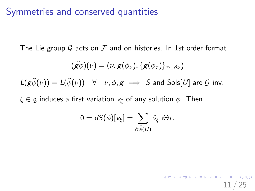#### Symmetries and conserved quantities

The Lie group G acts on F and on histories. In 1st order format

$$
(\tilde{\tilde{g\phi}})(\nu) = (\nu, g(\phi_\nu), \{g(\phi_\tau)\}_{\tau \subset \partial \nu})
$$

 $L(g\tilde{\phi}(\nu)) = L(\tilde{\phi}(\nu)) \quad \forall \quad \nu, \phi, g \implies S$  and Sols $[U]$  are  $G$  inv.

 $\xi \in \mathfrak{g}$  induces a first variation  $v_{\xi}$  of any solution  $\phi$ . Then

$$
0=dS(\phi)[\mathsf{v}_{\xi}]=\sum_{\partial\widetilde{\phi}(\mathsf{U})}\widetilde{\mathsf{v}}_{\xi}\lrcorner\Theta_L.
$$

<span id="page-10-0"></span>11 / 25

KO K K (DIK K E K K E K K K K K K K K K K K K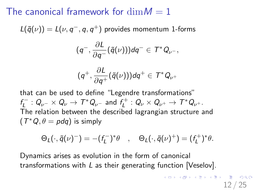### The canonical framework for  $\dim M = 1$

 $L({\tilde q}(\nu))=L(\nu,q^- ,q,q^+)$  provides momentum 1-forms

$$
(q^-,\frac{\partial L}{\partial q^-}(\tilde{q}(\nu)))dq^-\in \mathcal{T}^*Q_{\nu^-},
$$

$$
(q^+, \frac{\partial L}{\partial q^+}(\tilde{q}(\nu)))dq^+ \in T^*Q_{\nu^+}
$$

that can be used to define "Legendre transformations"  $f_I^ L^{\epsilon-}:\, Q_{\nu^-} \times Q_{\nu} \rightarrow \, T^*Q_{\nu^-}$  and  $f_L^+$  $L^{c+}:\, Q_\nu\times Q_{\nu^+}\to\, \mathcal{T}^*Q_{\nu^+}.$ The relation between the described lagrangian structure and  $(T^*Q, \theta = pdq)$  is simply

$$
\Theta_L(\cdot, \tilde{q}(\nu)^-) = -(f_L^-)^*\theta \quad , \quad \Theta_L(\cdot, \tilde{q}(\nu)^+) = (f_L^+)^*\theta.
$$

<span id="page-11-0"></span>12 / 25

KO K K (DIK K E K K E K K K K K K K K K K K K

Dynamics arises as evolution in the form of canonical transformations with L as their generating function [Veselov].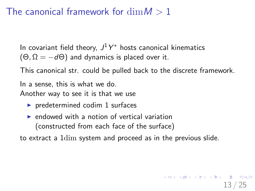## The canonical framework for  $\dim M > 1$

In covariant field theory,  $J^1Y^*$  hosts canonical kinematics  $(\Theta, \Omega = -d\Theta)$  and dynamics is placed over it.

This canonical str. could be pulled back to the discrete framework.

In a sense, this is what we do.

Another way to see it is that we use

- $\blacktriangleright$  predetermined codim 1 surfaces
- $\blacktriangleright$  endowed with a notion of vertical variation (constructed from each face of the surface)

to extract a 1dim system and proceed as in the previous slide.

13 / 25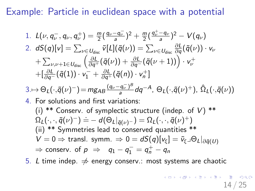Example: Particle in euclidean space with a potential

1. 
$$
L(\nu, q_{\nu}^-, q_{\nu}, q_{\nu}^+) = \frac{m}{2}(\frac{q_{\nu} - q_{\nu}^-}{a})^2 + \frac{m}{2}(\frac{q_{\nu}^+ - q_{\nu}^-}{a})^2 - V(q_{\nu})
$$
  
\n2.  $dS(q)[v] = \sum_{\nu \in U_{disc}} \tilde{v}[L](\tilde{q}(\nu)) = \sum_{\nu \in U_{disc}} \frac{\partial L}{\partial q}(\tilde{q}(\nu)) \cdot v_{\nu}$   
\n $+ \sum_{\nu, \nu+1 \in U_{disc}} \left(\frac{\partial L}{\partial q^+}(\tilde{q}(\nu)) + \frac{\partial L}{\partial q^-}(\tilde{q}(\nu+1))\right) \cdot v_{\nu}^+$   
\n $+ [\frac{\partial L}{\partial q^-}(\tilde{q}(1)) \cdot v_1^- + \frac{\partial L}{\partial q^+}(\tilde{q}(n)) \cdot v_n^+]$   
\n3.  $\mapsto \Theta_L(\cdot, \tilde{q}(\nu)^-) = mg_{AB} \frac{(q_{\nu} - q_{\nu}^-)^B}{a} dq^{-A}, \Theta_L(\cdot, \tilde{q}(\nu)^+), \hat{\Omega}_L(\cdot, \tilde{q}(\nu))$   
\n4. For solutions and first variations:  
\n(i) \*\* Conserv. of symplectic structure (indep. of V) \*\*  
\n $\Omega_L(\cdot, \cdot, \tilde{q}(\nu)^-) = -d(\Theta_L|\tilde{q}(\nu) -) = \Omega_L(\cdot, \cdot, \tilde{q}(\nu)^+)$   
\n(ii) \*\* Symmetries lead to conserved quantities \*\*  
\n $V = 0 \Rightarrow$  transl. symm.  $\Rightarrow 0 = dS(q)[v_{\xi}] = \tilde{v}_{\xi} \cdot \Theta_L|\partial_{\tilde{q}(\nu)}$   
\n $\Rightarrow$  conserv. of  $p \Rightarrow q_1 - q_1^- = q_n^+ - q_n$ 

5. L time indep.  $⇒$  energy conserv.: most systems are chaotic

<span id="page-13-0"></span>14 / 25

K ロ X (日) X (日) X (日) X (日) X (日) X (日) X (日) X (日) X (日) X (日) X (日) X (日)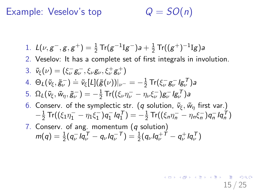## Example: Veselov's top  $Q = SO(n)$

\n- 1. 
$$
L(\nu, g^-, g, g^+) = \frac{1}{2} \text{Tr}(g^{-1}Ig^-)a + \frac{1}{2} \text{Tr}((g^+)^{-1}Ig)a
$$
\n- 2. Veselov: It has a complete set of first integrals in involution.
\n- 3.  $\tilde{v}_{\xi}(\nu) = (\xi_{\nu}^- g_{\nu}^-, \xi_{\nu} g_{\nu}, \xi_{\nu}^+ g_{\nu}^+)$
\n- 4.  $\Theta_L(\tilde{v}_{\xi}, \tilde{g}_{\nu}^-) \doteq \tilde{v}_{\xi}[L](\tilde{g}(\nu))|_{\nu^-} = -\frac{1}{2} \text{Tr}(\xi_{\nu}^- g_{\nu}^- I g_{\nu}^+)_a$
\n- 5.  $\Omega_L(\tilde{v}_{\xi}, \tilde{w}_{\eta}, \tilde{g}_{\nu}^-) = -\frac{1}{2} \text{Tr}((\xi_{\nu} \eta_{\nu}^- - \eta_{\nu} \xi_{\nu}^-) g_{\nu}^- I g_{\nu}^+)_a$
\n- 6. Conserv. of the symplectic str. (q solution,  $\tilde{v}_{\xi}, \tilde{w}_{\eta}$  first var.)  $-\frac{1}{2} \text{Tr}((\xi_1 \eta_1^- - \eta_1 \xi_1^-) q_1^- I q_1^T) = -\frac{1}{2} \text{Tr}((\xi_n \eta_n^- - \eta_n \xi_n^-) q_n^- I q_n^T)$
\n- 7. Conserv. of ang. momentum (q solution)  $m(q) = \frac{1}{2} (q_{\nu}^- I q_{\nu}^T - q_{\nu} I q_{\nu}^{-T}) = \frac{1}{2} (q_{\nu}^- I q_{\nu}^+ T - q_{\nu}^+ I q_{\nu}^T)$
\n

K ロ ▶ K @ ▶ K 할 ▶ K 할 ▶ 이 할 → 900 15 / 25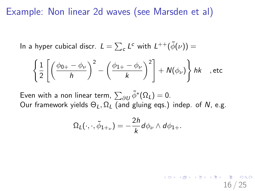Example: Non linear 2d waves (see Marsden et al)

In a hyper cubical discr.  $L = \sum_c L^c$  with  $L^{++}(\tilde{\phi}(\nu)) =$ 

$$
\left\{\frac{1}{2}\left[\left(\frac{\phi_{0+}-\phi_{\nu}}{h}\right)^2-\left(\frac{\phi_{1+}-\phi_{\nu}}{k}\right)^2\right]+N(\phi_{\nu})\right\}hk \quad , \text{etc}
$$

Even with a non linear term,  $\sum_{\partial U} \tilde{\phi}^*(\Omega_L) = 0.$ Our framework yields  $\Theta_L, \Omega_L$  (and gluing eqs.) indep. of N, e.g.

$$
\Omega_L(\cdot,\cdot,\tilde{\phi}_{1+\nu})=-\frac{2h}{k}d\phi_{\nu}\wedge d\phi_{1+}.
$$

<span id="page-15-0"></span>16 / 25

 $299$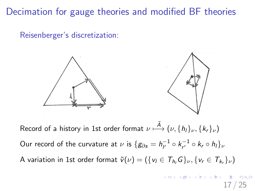Decimation for gauge theories and modified BF theories

Reisenberger's discretization:





Record of a history in 1st order format  $\nu \stackrel{\tilde{A}}{\longmapsto} (\nu, \{ h_l \}_\nu, \{ k_r \}_\nu)$ Our record of the curvature at  $\nu$  is  $\{g_{\partial s} = h_{\mu}^{-1}\}$  $\bar{h}^{-1} \circ k_{r'}^{-1}$  $\int_{r'}^{-1} \circ k_r \circ h_l \}_{\nu}$ A variation in 1st order format  $\tilde v(\nu)=(\{v_l\in {\mathcal T}_{h_l}G\}_{\nu}, \{v_r\in {\mathcal T}_{k_r}\}_{\nu})$ 

> <span id="page-16-0"></span>17 / 25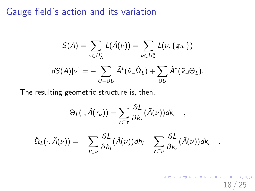Gauge field's action and its variation

$$
S(A) = \sum_{\nu \in U_{\Delta}^n} L(\tilde{A}(\nu)) = \sum_{\nu \in U_{\Delta}^n} L(\nu, \{g_{\partial s}\})
$$

$$
dS(A)[\nu] = -\sum_{U \supset \partial U} \tilde{A}^*(\tilde{\nu} \lrcorner \hat{\Omega}_L) + \sum_{\partial U} \tilde{A}^*(\tilde{\nu} \lrcorner \Theta_L).
$$

The resulting geometric structure is, then,

$$
\Theta_L(\cdot,\tilde{A}(\tau_{\nu}))=\sum_{r\subset\tau}\frac{\partial L}{\partial k_r}(\tilde{A}(\nu))dk_r ,
$$

$$
\hat{\Omega}_L(\cdot,\tilde{A}(\nu))=-\sum_{l\subset\nu}\frac{\partial L}{\partial h_l}(\tilde{A}(\nu))dh_l-\sum_{r\subset\nu}\frac{\partial L}{\partial k_r}(\tilde{A}(\nu))dk_r\quad.
$$

18 / 25

KO K K @ K K & K X & K Y & K Y Q Q Q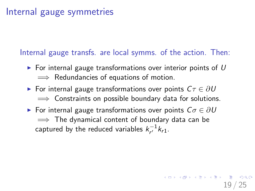## Internal gauge symmetries

Internal gauge transfs. are local symms. of the action. Then:

- $\triangleright$  For internal gauge transformations over interior points of U  $\implies$  Redundancies of equations of motion.
- ► For internal gauge transformations over points  $C\tau \in \partial U$  $\implies$  Constraints on possible boundary data for solutions.
- ► For internal gauge transformations over points  $C\sigma \in \partial U$  $\implies$  The dynamical content of boundary data can be captured by the reduced variables  $k_{r'}^{-1}$  $r^{\frac{-1}{r}}k_{r1}.$

19 / 25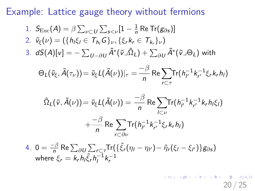Example: Lattice gauge theory without fermions

1. 
$$
S_{\text{Euc}}(A) = \beta \sum_{\nu \subset U} \sum_{s < \nu} [1 - \frac{1}{n} \text{Re Tr}(g_{\partial s})]
$$
  
\n2.  $\tilde{v}_{\xi}(\nu) = (\{h_l \xi_l \in T_{h_l} G\}_{\nu}, \{\xi_r k_r \in T_{k_r}\}_{\nu})$   
\n3.  $dS(A)[v] = -\sum_{U \to \partial U} \tilde{A}^*(\tilde{v} \lrcorner \hat{\Omega}_L) + \sum_{\partial U} \tilde{A}^*(\tilde{v} \lrcorner \Theta_L)$  with  
\n
$$
\Theta_L(\tilde{v}_{\xi}, \tilde{A}(\tau_{\nu})) = \tilde{v}_{\xi} L(\tilde{A}(\nu))|_{\tau} = -\frac{\beta}{n} \text{Re} \sum_{r \subset \tau} \text{Tr}(h_{\nu}^{-1} k_{r'}^{-1} \xi_r k_r h_l)
$$

$$
\hat{\Omega}_{L}(\tilde{v}, \tilde{A}(\nu)) = \tilde{v}_{\xi} L(\tilde{A}(\nu)) = \frac{-\beta}{n} \operatorname{Re} \sum_{l \subset \nu} \operatorname{Tr} (h_{l'}^{-1} k_{r'}^{-1} k_r h_l \xi_l)
$$

$$
+ \frac{-\beta}{n} \operatorname{Re} \sum_{r \subset \partial \nu} \operatorname{Tr} (h_{l'}^{-1} k_{r'}^{-1} \xi_r k_r h_l)
$$

4. 
$$
0 = \frac{-\beta}{n} \operatorname{Re} \sum_{\partial U} \sum_{r \subset \tau} \operatorname{Tr} (\{\hat{\xi}_r(\eta_l - \eta_{l'}) - \hat{\eta}_r(\xi_l - \xi_{l'})\} g_{\partial s})
$$
where  $\xi_r = k_r h_l \hat{\xi}_r h_l^{-1} k_r^{-1}$ 

20 / 25

K ロ > K 個 > K 星 > K 星 > 「星」 の Q @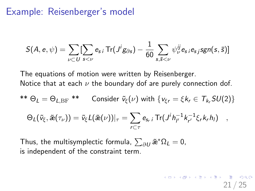#### Example: Reisenberger's model

$$
S(A, e, \psi) = \sum_{\nu \subset U} \sum_{s < \nu} e_{s,i} \operatorname{Tr}(J^{i}g_{\partial s}) - \frac{1}{60} \sum_{s, \bar{s} < \nu} \psi_{\nu}^{\bar{y}} e_{s,i} e_{s,j} sgn(s, \bar{s})]
$$

The equations of motion were written by Reisenberger. Notice that at each  $\nu$  the boundary dof are purely connection dof.

$$
** \Theta_L = \Theta_{L,\text{BF}}** \quad \text{Consider } \tilde{v}_{\xi}(\nu) \text{ with } \{v_{\xi r} = \xi k_r \in T_{k_r}SU(2)\}
$$
\n
$$
\Theta_L(\tilde{v}_{\xi}, \tilde{\mathbf{z}}(\tau_{\nu})) = \tilde{v}_{\xi}L(\tilde{\mathbf{z}}(\nu))|_{\tau} = \sum_{r \subset \tau} e_{s_r} \cdot \text{Tr}(J^i h_{\mu}^{-1} k_{r'}^{-1} \xi_r k_r h_l) ,
$$

21 / 25

Thus, the multisymplectic formula,  $\sum_{\partial U} \tilde{\mathbf{z}}^* \Omega_L = 0$ , is independent of the constraint term.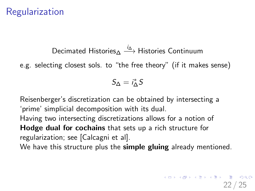#### **Regularization**

# Decimated Histories<sub>∆</sub> <sup>*i*∆</sup> Histories Continuum

e.g. selecting closest sols. to "the free theory" (if it makes sense)

$$
S_{\Delta} = i_{\Delta}^* S
$$

Reisenberger's discretization can be obtained by intersecting a 'prime' simplicial decomposition with its dual.

Having two intersecting discretizations allows for a notion of Hodge dual for cochains that sets up a rich structure for regularization; see [Calcagni et al].

We have this structure plus the **simple gluing** already mentioned.

<span id="page-21-0"></span>22 / 25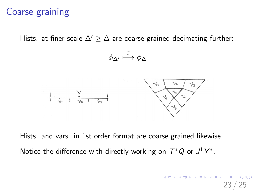#### Coarse graining

Hists. at finer scale  $\Delta' \geq \Delta$  are coarse grained decimating further:



Hists. and vars. in 1st order format are coarse grained likewise. Notice the difference with directly working on  $T^*Q$  or  $J^1Y^*$ .

23 / 25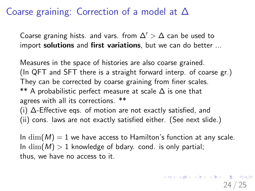## Coarse graining: Correction of a model at ∆

Coarse graning hists. and vars. from  $\Delta' > \Delta$  can be used to import **solutions** and first variations, but we can do better ...

Measures in the space of histories are also coarse grained. (In QFT and SFT there is a straight forward interp. of coarse gr.) They can be corrected by coarse graining from finer scales. \*\* A probabilistic perfect measure at scale  $\Delta$  is one that agrees with all its corrections. \*\*

(i) ∆-Effective eqs. of motion are not exactly satisfied, and (ii) cons. laws are not exactly satisfied either. (See next slide.)

In  $\dim(M) = 1$  we have access to Hamilton's function at any scale. In  $\dim(M) > 1$  knowledge of bdary. cond. is only partial; thus, we have no access to it.

25

**KORK (BRK ERKER) EL PORO**